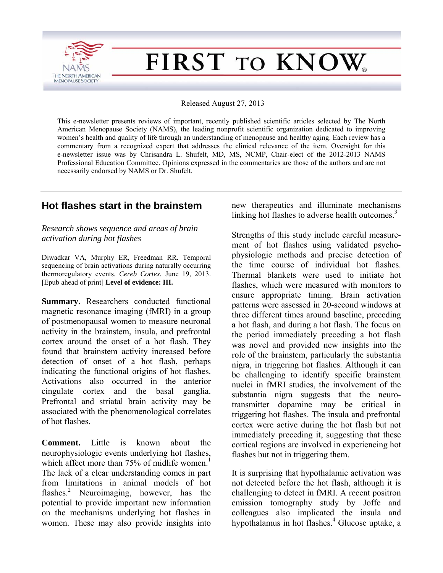

# FIRST TO KNOW

Released August 27, 2013

This e-newsletter presents reviews of important, recently published scientific articles selected by The North American Menopause Society (NAMS), the leading nonprofit scientific organization dedicated to improving women's health and quality of life through an understanding of menopause and healthy aging. Each review has a commentary from a recognized expert that addresses the clinical relevance of the item. Oversight for this e-newsletter issue was by Chrisandra L. Shufelt, MD, MS, NCMP, Chair-elect of the 2012-2013 NAMS Professional Education Committee. Opinions expressed in the commentaries are those of the authors and are not necessarily endorsed by NAMS or Dr. Shufelt.

# **Hot flashes start in the brainstem**

*Research shows sequence and areas of brain activation during hot flashes* 

Diwadkar VA, Murphy ER, Freedman RR. Temporal sequencing of brain activations during naturally occurring thermoregulatory events. *Cereb Cortex.* June 19, 2013. [Epub ahead of print] **Level of evidence: III.** 

**Summary.** Researchers conducted functional magnetic resonance imaging (fMRI) in a group of postmenopausal women to measure neuronal activity in the brainstem, insula, and prefrontal cortex around the onset of a hot flash. They found that brainstem activity increased before detection of onset of a hot flash, perhaps indicating the functional origins of hot flashes. Activations also occurred in the anterior cingulate cortex and the basal ganglia. Prefrontal and striatal brain activity may be associated with the phenomenological correlates of hot flashes.

**Comment.** Little is known about the neurophysiologic events underlying hot flashes, which affect more than  $75%$  of midlife women.<sup>1</sup> The lack of a clear understanding comes in part from limitations in animal models of hot flashes.<sup>2</sup> Neuroimaging, however, has the potential to provide important new information on the mechanisms underlying hot flashes in women. These may also provide insights into

new therapeutics and illuminate mechanisms linking hot flashes to adverse health outcomes.<sup>3</sup>

Strengths of this study include careful measurement of hot flashes using validated psychophysiologic methods and precise detection of the time course of individual hot flashes. Thermal blankets were used to initiate hot flashes, which were measured with monitors to ensure appropriate timing. Brain activation patterns were assessed in 20-second windows at three different times around baseline, preceding a hot flash, and during a hot flash. The focus on the period immediately preceding a hot flash was novel and provided new insights into the role of the brainstem, particularly the substantia nigra, in triggering hot flashes. Although it can be challenging to identify specific brainstem nuclei in fMRI studies, the involvement of the substantia nigra suggests that the neurotransmitter dopamine may be critical in triggering hot flashes. The insula and prefrontal cortex were active during the hot flash but not immediately preceding it, suggesting that these cortical regions are involved in experiencing hot flashes but not in triggering them.

It is surprising that hypothalamic activation was not detected before the hot flash, although it is challenging to detect in fMRI. A recent positron emission tomography study by Joffe and colleagues also implicated the insula and hypothalamus in hot flashes.<sup>4</sup> Glucose uptake, a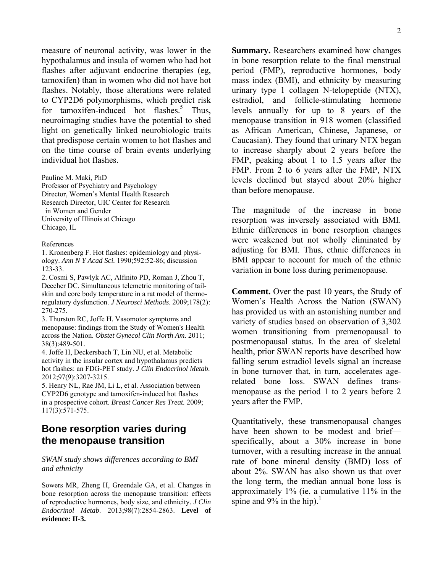measure of neuronal activity, was lower in the hypothalamus and insula of women who had hot flashes after adjuvant endocrine therapies (eg. tamoxifen) than in women who did not have hot flashes. Notably, those alterations were related to CYP2D6 polymorphisms, which predict risk for tamoxifen-induced hot flashes. $5$  Thus, neuroimaging studies have the potential to shed light on genetically linked neurobiologic traits that predispose certain women to hot flashes and on the time course of brain events underlying individual hot flashes.

Pauline M. Maki, PhD Professor of Psychiatry and Psychology Director, Women's Mental Health Research Research Director, UIC Center for Research in Women and Gender University of Illinois at Chicago Chicago, IL

#### References

1. Kronenberg F. Hot flashes: epidemiology and physiology. *Ann N Y Acad Sci.* 1990;592:52-86; discussion 123-33.

2. Cosmi S, Pawlyk AC, Alfinito PD, Roman J, Zhou T, Deecher DC. Simultaneous telemetric monitoring of tailskin and core body temperature in a rat model of thermoregulatory dysfunction. *J Neurosci Methods*. 2009;178(2): 270-275.

3. Thurston RC, Joffe H. Vasomotor symptoms and menopause: findings from the Study of Women's Health across the Nation. *Obstet Gynecol Clin North Am.* 2011; 38(3):489-501.

4. Joffe H, Deckersbach T, Lin NU, et al. Metabolic activity in the insular cortex and hypothalamus predicts hot flashes: an FDG-PET study. *J Clin Endocrinol Metab.* 2012;97(9):3207-3215.

5. Henry NL, Rae JM, Li L, et al. Association between CYP2D6 genotype and tamoxifen-induced hot flashes in a prospective cohort. *Breast Cancer Res Treat.* 2009; 117(3):571-575.

## **Bone resorption varies during the menopause transition**

#### *SWAN study shows differences according to BMI and ethnicity*

Sowers MR, Zheng H, Greendale GA, et al. Changes in bone resorption across the menopause transition: effects of reproductive hormones, body size, and ethnicity. *J Clin Endocrinol Metab*. 2013;98(7):2854-2863. **Level of evidence: II-3.** 

**Summary.** Researchers examined how changes in bone resorption relate to the final menstrual period (FMP), reproductive hormones, body mass index (BMI), and ethnicity by measuring urinary type 1 collagen N-telopeptide (NTX), estradiol, and follicle-stimulating hormone levels annually for up to 8 years of the menopause transition in 918 women (classified as African American, Chinese, Japanese, or Caucasian). They found that urinary NTX began to increase sharply about 2 years before the FMP, peaking about 1 to 1.5 years after the FMP. From 2 to 6 years after the FMP, NTX levels declined but stayed about 20% higher than before menopause.

The magnitude of the increase in bone resorption was inversely associated with BMI. Ethnic differences in bone resorption changes were weakened but not wholly eliminated by adjusting for BMI. Thus, ethnic differences in BMI appear to account for much of the ethnic variation in bone loss during perimenopause.

**Comment.** Over the past 10 years, the Study of Women's Health Across the Nation (SWAN) has provided us with an astonishing number and variety of studies based on observation of 3,302 women transitioning from premenopausal to postmenopausal status. In the area of skeletal health, prior SWAN reports have described how falling serum estradiol levels signal an increase in bone turnover that, in turn, accelerates agerelated bone loss. SWAN defines transmenopause as the period 1 to 2 years before 2 years after the FMP.

Quantitatively, these transmenopausal changes have been shown to be modest and brief specifically, about a 30% increase in bone turnover, with a resulting increase in the annual rate of bone mineral density (BMD) loss of about 2%. SWAN has also shown us that over the long term, the median annual bone loss is approximately 1% (ie, a cumulative 11% in the spine and  $9\%$  in the hip).<sup>1</sup>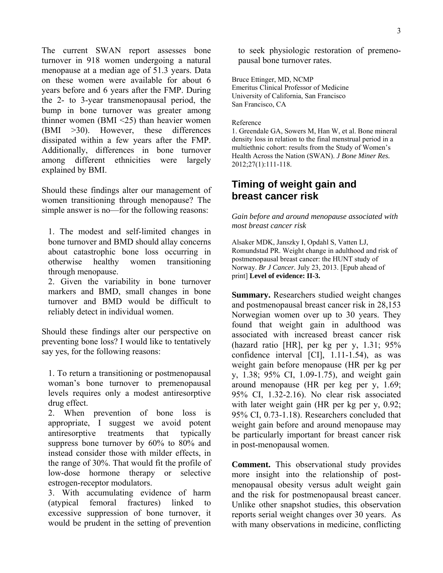The current SWAN report assesses bone turnover in 918 women undergoing a natural menopause at a median age of 51.3 years. Data on these women were available for about 6 years before and 6 years after the FMP. During the 2- to 3-year transmenopausal period, the bump in bone turnover was greater among thinner women (BMI <25) than heavier women (BMI >30). However, these differences dissipated within a few years after the FMP. Additionally, differences in bone turnover among different ethnicities were largely explained by BMI.

Should these findings alter our management of women transitioning through menopause? The simple answer is no—for the following reasons:

1. The modest and self-limited changes in bone turnover and BMD should allay concerns about catastrophic bone loss occurring in otherwise healthy women transitioning through menopause.

2. Given the variability in bone turnover markers and BMD, small changes in bone turnover and BMD would be difficult to reliably detect in individual women.

Should these findings alter our perspective on preventing bone loss? I would like to tentatively say yes, for the following reasons:

1. To return a transitioning or postmenopausal woman's bone turnover to premenopausal levels requires only a modest antiresorptive drug effect.

2. When prevention of bone loss is appropriate, I suggest we avoid potent antiresorptive treatments that typically suppress bone turnover by 60% to 80% and instead consider those with milder effects, in the range of 30%. That would fit the profile of low-dose hormone therapy or selective estrogen-receptor modulators.

3. With accumulating evidence of harm (atypical femoral fractures) linked to excessive suppression of bone turnover, it would be prudent in the setting of prevention to seek physiologic restoration of premenopausal bone turnover rates.

Bruce Ettinger, MD, NCMP Emeritus Clinical Professor of Medicine University of California, San Francisco San Francisco, CA

#### Reference

1. Greendale GA, Sowers M, Han W, et al. Bone mineral density loss in relation to the final menstrual period in a multiethnic cohort: results from the Study of Women's Health Across the Nation (SWAN). *J Bone Miner Res.* 2012;27(1):111-118.

# **Timing of weight gain and breast cancer risk**

*Gain before and around menopause associated with most breast cancer risk* 

Alsaker MDK, Janszky I, Opdahl S, Vatten LJ, Romundstad PR. Weight change in adulthood and risk of postmenopausal breast cancer: the HUNT study of Norway. *Br J Cancer.* July 23, 2013. [Epub ahead of print] **Level of evidence: II-3.** 

**Summary.** Researchers studied weight changes and postmenopausal breast cancer risk in 28,153 Norwegian women over up to 30 years. They found that weight gain in adulthood was associated with increased breast cancer risk (hazard ratio [HR], per kg per y, 1.31; 95% confidence interval [CI], 1.11-1.54), as was weight gain before menopause (HR per kg per y, 1.38; 95% CI, 1.09-1.75), and weight gain around menopause (HR per keg per y, 1.69; 95% CI, 1.32-2.16). No clear risk associated with later weight gain (HR per kg per y, 0.92; 95% CI, 0.73-1.18). Researchers concluded that weight gain before and around menopause may be particularly important for breast cancer risk in post-menopausal women.

**Comment.** This observational study provides more insight into the relationship of postmenopausal obesity versus adult weight gain and the risk for postmenopausal breast cancer. Unlike other snapshot studies, this observation reports serial weight changes over 30 years. As with many observations in medicine, conflicting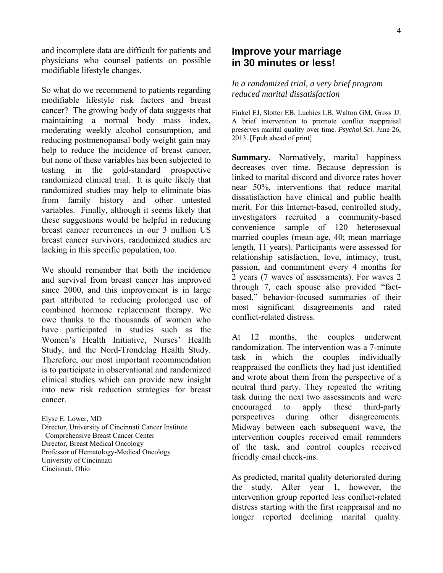and incomplete data are difficult for patients and physicians who counsel patients on possible modifiable lifestyle changes.

So what do we recommend to patients regarding modifiable lifestyle risk factors and breast cancer? The growing body of data suggests that maintaining a normal body mass index, moderating weekly alcohol consumption, and reducing postmenopausal body weight gain may help to reduce the incidence of breast cancer, but none of these variables has been subjected to testing in the gold-standard prospective randomized clinical trial. It is quite likely that randomized studies may help to eliminate bias from family history and other untested variables. Finally, although it seems likely that these suggestions would be helpful in reducing breast cancer recurrences in our 3 million US breast cancer survivors, randomized studies are lacking in this specific population, too.

We should remember that both the incidence and survival from breast cancer has improved since 2000, and this improvement is in large part attributed to reducing prolonged use of combined hormone replacement therapy. We owe thanks to the thousands of women who have participated in studies such as the Women's Health Initiative, Nurses' Health Study, and the Nord-Trondelag Health Study. Therefore, our most important recommendation is to participate in observational and randomized clinical studies which can provide new insight into new risk reduction strategies for breast cancer.

Elyse E. Lower, MD Director, University of Cincinnati Cancer Institute Comprehensive Breast Cancer Center Director, Breast Medical Oncology Professor of Hematology-Medical Oncology University of Cincinnati Cincinnati, Ohio

## **Improve your marriage in 30 minutes or less!**

### *In a randomized trial, a very brief program reduced marital dissatisfaction*

Finkel EJ, Slotter EB, Luchies LB, Walton GM, Gross JJ. A brief intervention to promote conflict reappraisal preserves marital quality over time. *Psychol Sci.* June 26, 2013. [Epub ahead of print]

**Summary.** Normatively, marital happiness decreases over time. Because depression is linked to marital discord and divorce rates hover near 50%, interventions that reduce marital dissatisfaction have clinical and public health merit. For this Internet-based, controlled study, investigators recruited a community-based convenience sample of 120 heterosexual married couples (mean age, 40; mean marriage length, 11 years). Participants were assessed for relationship satisfaction, love, intimacy, trust, passion, and commitment every 4 months for 2 years (7 waves of assessments). For waves 2 through 7, each spouse also provided "factbased," behavior-focused summaries of their most significant disagreements and rated conflict-related distress.

At 12 months, the couples underwent randomization. The intervention was a 7-minute task in which the couples individually reappraised the conflicts they had just identified and wrote about them from the perspective of a neutral third party. They repeated the writing task during the next two assessments and were encouraged to apply these third-party perspectives during other disagreements. Midway between each subsequent wave, the intervention couples received email reminders of the task, and control couples received friendly email check-ins.

As predicted, marital quality deteriorated during the study. After year 1, however, the intervention group reported less conflict-related distress starting with the first reappraisal and no longer reported declining marital quality.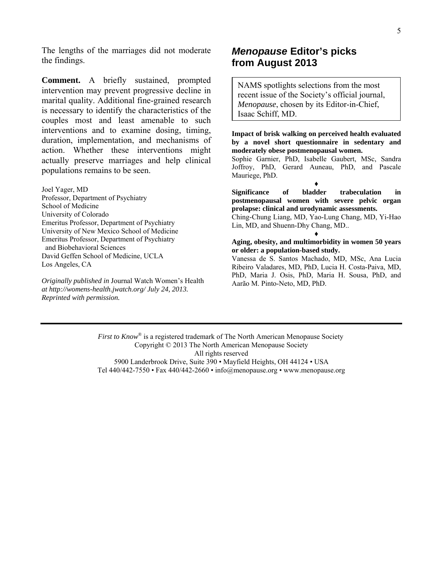The lengths of the marriages did not moderate the findings.

**Comment.** A briefly sustained, prompted intervention may prevent progressive decline in marital quality. Additional fine-grained research is necessary to identify the characteristics of the couples most and least amenable to such interventions and to examine dosing, timing, duration, implementation, and mechanisms of action. Whether these interventions might actually preserve marriages and help clinical populations remains to be seen.

Joel Yager, MD Professor, Department of Psychiatry School of Medicine University of Colorado Emeritus Professor, Department of Psychiatry University of New Mexico School of Medicine Emeritus Professor, Department of Psychiatry and Biobehavioral Sciences David Geffen School of Medicine, UCLA Los Angeles, CA

*Originally published in* Journal Watch Women's Health *at http://womens-health.jwatch.org/ July 24, 2013. Reprinted with permission.*

## *Menopause* **Editor's picks from August 2013**

NAMS spotlights selections from the most recent issue of the Society's official journal, *Menopause*, chosen by its Editor-in-Chief, Isaac Schiff, MD.

**Impact of brisk walking on perceived health evaluated by a novel short questionnaire in sedentary and moderately obese postmenopausal women.** 

Sophie Garnier, PhD, Isabelle Gaubert, MSc, Sandra Joffroy, PhD, Gerard Auneau, PhD, and Pascale Mauriege, PhD.

♦

**Significance of bladder trabeculation in postmenopausal women with severe pelvic organ prolapse: clinical and urodynamic assessments.** 

Ching-Chung Liang, MD, Yao-Lung Chang, MD, Yi-Hao Lin, MD, and Shuenn-Dhy Chang, MD.. ♦

#### **Aging, obesity, and multimorbidity in women 50 years or older: a population-based study.**

Vanessa de S. Santos Machado, MD, MSc, Ana Lucia Ribeiro Valadares, MD, PhD, Lucia H. Costa-Paiva, MD, PhD, Maria J. Osis, PhD, Maria H. Sousa, PhD, and Aarão M. Pinto-Neto, MD, PhD.

*First to Know*<sup>®</sup> is a registered trademark of The North American Menopause Society Copyright © 2013 The North American Menopause Society All rights reserved 5900 Landerbrook Drive, Suite 390 • Mayfield Heights, OH 44124 • USA Tel 440/442-7550 • Fax 440/442-2660 • info@menopause.org • www.menopause.org